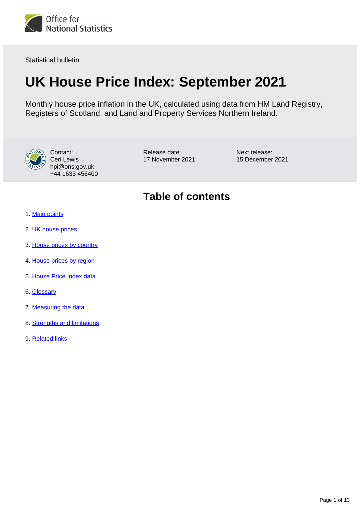

Statistical bulletin

# **UK House Price Index: September 2021**

Monthly house price inflation in the UK, calculated using data from HM Land Registry, Registers of Scotland, and Land and Property Services Northern Ireland.



Contact: Ceri Lewis hpi@ons.gov.uk +44 1633 456400

Release date: 17 November 2021 Next release: 15 December 2021

## **Table of contents**

- 1. [Main points](#page-1-0)
- 2. [UK house prices](#page-1-1)
- 3. [House prices by country](#page-5-0)
- 4. [House prices by region](#page-7-0)
- 5. [House Price Index data](#page-9-0)
- 6. [Glossary](#page-9-1)
- 7. [Measuring the data](#page-9-2)
- 8. [Strengths and limitations](#page-11-0)
- 9. [Related links](#page-12-0)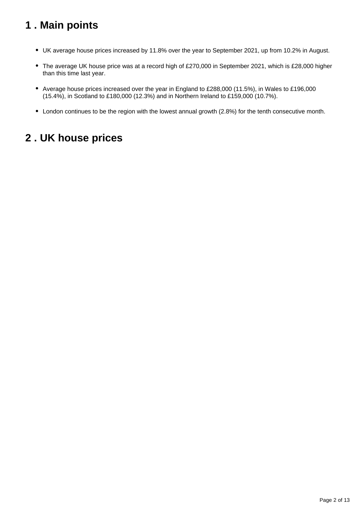## <span id="page-1-0"></span>**1 . Main points**

- UK average house prices increased by 11.8% over the year to September 2021, up from 10.2% in August.
- The average UK house price was at a record high of £270,000 in September 2021, which is £28,000 higher than this time last year.
- Average house prices increased over the year in England to £288,000 (11.5%), in Wales to £196,000 (15.4%), in Scotland to £180,000 (12.3%) and in Northern Ireland to £159,000 (10.7%).
- London continues to be the region with the lowest annual growth (2.8%) for the tenth consecutive month.

## <span id="page-1-1"></span>**2 . UK house prices**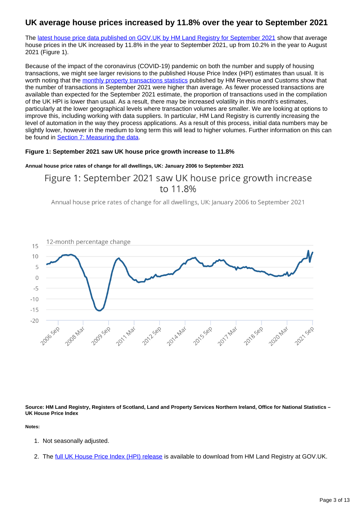### **UK average house prices increased by 11.8% over the year to September 2021**

The [latest house price data published on GOV.UK by HM Land Registry for September 2021](https://www.gov.uk/government/collections/uk-house-price-index-reports) show that average house prices in the UK increased by 11.8% in the year to September 2021, up from 10.2% in the year to August 2021 (Figure 1).

Because of the impact of the coronavirus (COVID-19) pandemic on both the number and supply of housing transactions, we might see larger revisions to the published House Price Index (HPI) estimates than usual. It is worth noting that the [monthly property transactions statistics](https://www.gov.uk/government/statistics/monthly-property-transactions-completed-in-the-uk-with-value-40000-or-above) published by HM Revenue and Customs show that the number of transactions in September 2021 were higher than average. As fewer processed transactions are available than expected for the September 2021 estimate, the proportion of transactions used in the compilation of the UK HPI is lower than usual. As a result, there may be increased volatility in this month's estimates, particularly at the lower geographical levels where transaction volumes are smaller. We are looking at options to improve this, including working with data suppliers. In particular, HM Land Registry is currently increasing the level of automation in the way they process applications. As a result of this process, initial data numbers may be slightly lower, however in the medium to long term this will lead to higher volumes. Further information on this can be found in **[Section 7: Measuring the data](https://www.ons.gov.uk/economy/inflationandpriceindices/bulletins/housepriceindex/september2021#measuring-the-data).** 

#### **Figure 1: September 2021 saw UK house price growth increase to 11.8%**

#### **Annual house price rates of change for all dwellings, UK: January 2006 to September 2021**

## Figure 1: September 2021 saw UK house price growth increase to 11.8%

Annual house price rates of change for all dwellings, UK: January 2006 to September 2021



**Source: HM Land Registry, Registers of Scotland, Land and Property Services Northern Ireland, Office for National Statistics – UK House Price Index**

**Notes:**

- 1. Not seasonally adjusted.
- 2. The <u>[full UK House Price Index \(HPI\) release](https://www.gov.uk/government/collections/uk-house-price-index-reports)</u> is available to download from HM Land Registry at GOV.UK.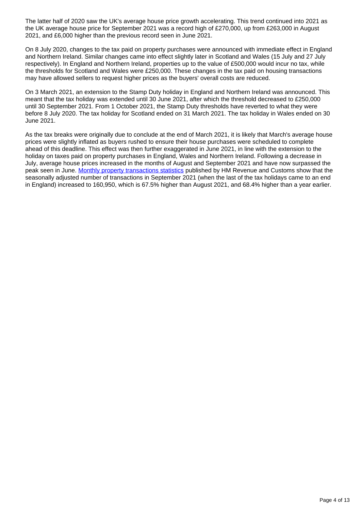The latter half of 2020 saw the UK's average house price growth accelerating. This trend continued into 2021 as the UK average house price for September 2021 was a record high of £270,000, up from £263,000 in August 2021, and £6,000 higher than the previous record seen in June 2021.

On 8 July 2020, changes to the tax paid on property purchases were announced with immediate effect in England and Northern Ireland. Similar changes came into effect slightly later in Scotland and Wales (15 July and 27 July respectively). In England and Northern Ireland, properties up to the value of £500,000 would incur no tax, while the thresholds for Scotland and Wales were £250,000. These changes in the tax paid on housing transactions may have allowed sellers to request higher prices as the buyers' overall costs are reduced.

On 3 March 2021, an extension to the Stamp Duty holiday in England and Northern Ireland was announced. This meant that the tax holiday was extended until 30 June 2021, after which the threshold decreased to £250,000 until 30 September 2021. From 1 October 2021, the Stamp Duty thresholds have reverted to what they were before 8 July 2020. The tax holiday for Scotland ended on 31 March 2021. The tax holiday in Wales ended on 30 June 2021.

As the tax breaks were originally due to conclude at the end of March 2021, it is likely that March's average house prices were slightly inflated as buyers rushed to ensure their house purchases were scheduled to complete ahead of this deadline. This effect was then further exaggerated in June 2021, in line with the extension to the holiday on taxes paid on property purchases in England, Wales and Northern Ireland. Following a decrease in July, average house prices increased in the months of August and September 2021 and have now surpassed the peak seen in June. [Monthly property transactions statistics](https://www.gov.uk/government/statistics/monthly-property-transactions-completed-in-the-uk-with-value-40000-or-above) published by HM Revenue and Customs show that the seasonally adjusted number of transactions in September 2021 (when the last of the tax holidays came to an end in England) increased to 160,950, which is 67.5% higher than August 2021, and 68.4% higher than a year earlier.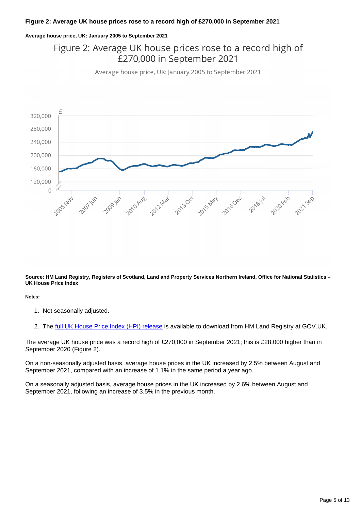#### **Figure 2: Average UK house prices rose to a record high of £270,000 in September 2021**

#### **Average house price, UK: January 2005 to September 2021**

## Figure 2: Average UK house prices rose to a record high of £270,000 in September 2021

Average house price, UK: January 2005 to September 2021



**Source: HM Land Registry, Registers of Scotland, Land and Property Services Northern Ireland, Office for National Statistics – UK House Price Index**

**Notes:**

- 1. Not seasonally adjusted.
- 2. The <u>[full UK House Price Index \(HPI\) release](https://www.gov.uk/government/collections/uk-house-price-index-reports)</u> is available to download from HM Land Registry at GOV.UK.

The average UK house price was a record high of £270,000 in September 2021; this is £28,000 higher than in September 2020 (Figure 2).

On a non-seasonally adjusted basis, average house prices in the UK increased by 2.5% between August and September 2021, compared with an increase of 1.1% in the same period a year ago.

On a seasonally adjusted basis, average house prices in the UK increased by 2.6% between August and September 2021, following an increase of 3.5% in the previous month.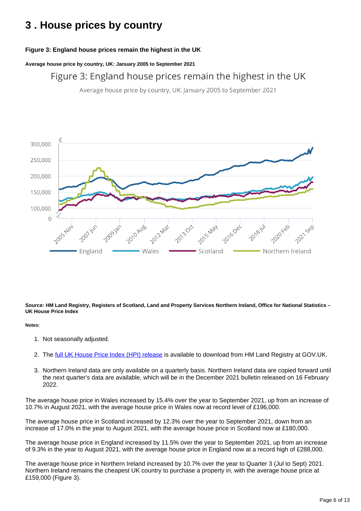## <span id="page-5-0"></span>**3 . House prices by country**

### **Figure 3: England house prices remain the highest in the UK**

**Average house price by country, UK: January 2005 to September 2021**

Figure 3: England house prices remain the highest in the UK

Average house price by country, UK: January 2005 to September 2021



**Source: HM Land Registry, Registers of Scotland, Land and Property Services Northern Ireland, Office for National Statistics – UK House Price Index**

#### **Notes:**

- 1. Not seasonally adjusted.
- 2. The <u>[full UK House Price Index \(HPI\) release](https://www.gov.uk/government/collections/uk-house-price-index-reports)</u> is available to download from HM Land Registry at GOV.UK.
- 3. Northern Ireland data are only available on a quarterly basis. Northern Ireland data are copied forward until the next quarter's data are available, which will be in the December 2021 bulletin released on 16 February 2022.

The average house price in Wales increased by 15.4% over the year to September 2021, up from an increase of 10.7% in August 2021, with the average house price in Wales now at record level of £196,000.

The average house price in Scotland increased by 12.3% over the year to September 2021, down from an increase of 17.0% in the year to August 2021, with the average house price in Scotland now at £180,000.

The average house price in England increased by 11.5% over the year to September 2021, up from an increase of 9.3% in the year to August 2021, with the average house price in England now at a record high of £288,000.

The average house price in Northern Ireland increased by 10.7% over the year to Quarter 3 (Jul to Sept) 2021. Northern Ireland remains the cheapest UK country to purchase a property in, with the average house price at £159,000 (Figure 3).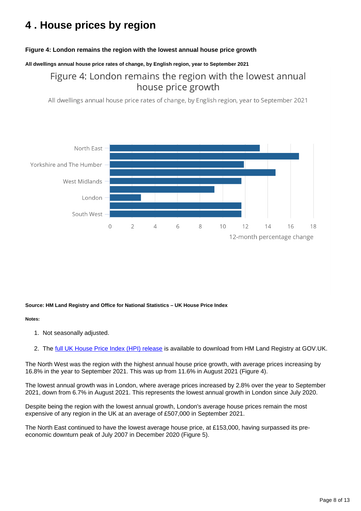## <span id="page-7-0"></span>**4 . House prices by region**

#### **Figure 4: London remains the region with the lowest annual house price growth**

#### **All dwellings annual house price rates of change, by English region, year to September 2021**

## Figure 4: London remains the region with the lowest annual house price growth

All dwellings annual house price rates of change, by English region, year to September 2021



#### **Source: HM Land Registry and Office for National Statistics – UK House Price Index**

#### **Notes:**

- 1. Not seasonally adjusted.
- 2. The <u>[full UK House Price Index \(HPI\) release](https://www.gov.uk/government/collections/uk-house-price-index-reports)</u> is available to download from HM Land Registry at GOV.UK.

The North West was the region with the highest annual house price growth, with average prices increasing by 16.8% in the year to September 2021. This was up from 11.6% in August 2021 (Figure 4).

The lowest annual growth was in London, where average prices increased by 2.8% over the year to September 2021, down from 6.7% in August 2021. This represents the lowest annual growth in London since July 2020.

Despite being the region with the lowest annual growth, London's average house prices remain the most expensive of any region in the UK at an average of £507,000 in September 2021.

The North East continued to have the lowest average house price, at £153,000, having surpassed its preeconomic downturn peak of July 2007 in December 2020 (Figure 5).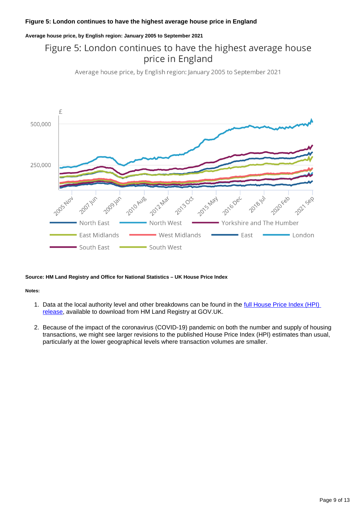#### **Figure 5: London continues to have the highest average house price in England**

#### **Average house price, by English region: January 2005 to September 2021**

## Figure 5: London continues to have the highest average house price in England

Average house price, by English region: January 2005 to September 2021



#### **Source: HM Land Registry and Office for National Statistics – UK House Price Index**

#### **Notes:**

- 1. Data at the local authority level and other breakdowns can be found in the full House Price Index (HPI) [release,](https://www.gov.uk/government/collections/uk-house-price-index-reports) available to download from HM Land Registry at GOV.UK.
- 2. Because of the impact of the coronavirus (COVID-19) pandemic on both the number and supply of housing transactions, we might see larger revisions to the published House Price Index (HPI) estimates than usual, particularly at the lower geographical levels where transaction volumes are smaller.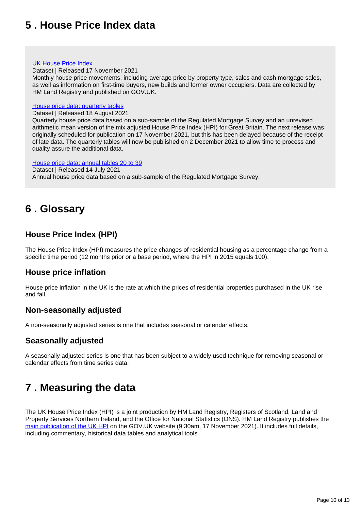## <span id="page-9-0"></span>**5 . House Price Index data**

#### [UK House Price Index](https://www.gov.uk/government/statistical-data-sets/uk-house-price-index-data-downloads-september-2021)

Dataset | Released 17 November 2021

Monthly house price movements, including average price by property type, sales and cash mortgage sales, as well as information on first-time buyers, new builds and former owner occupiers. Data are collected by HM Land Registry and published on GOV.UK.

#### [House price data: quarterly tables](https://www.ons.gov.uk/economy/inflationandpriceindices/datasets/housepriceindexmonthlyquarterlytables1to19)

Dataset | Released 18 August 2021

Quarterly house price data based on a sub-sample of the Regulated Mortgage Survey and an unrevised arithmetic mean version of the mix adjusted House Price Index (HPI) for Great Britain. The next release was originally scheduled for publication on 17 November 2021, but this has been delayed because of the receipt of late data. The quarterly tables will now be published on 2 December 2021 to allow time to process and quality assure the additional data.

[House price data: annual tables 20 to 39](https://www.ons.gov.uk/economy/inflationandpriceindices/datasets/housepriceindexannualtables2039) Dataset | Released 14 July 2021 Annual house price data based on a sub-sample of the Regulated Mortgage Survey.

## <span id="page-9-1"></span>**6 . Glossary**

### **House Price Index (HPI)**

The House Price Index (HPI) measures the price changes of residential housing as a percentage change from a specific time period (12 months prior or a base period, where the HPI in 2015 equals 100).

### **House price inflation**

House price inflation in the UK is the rate at which the prices of residential properties purchased in the UK rise and fall.

### **Non-seasonally adjusted**

A non-seasonally adjusted series is one that includes seasonal or calendar effects.

### **Seasonally adjusted**

A seasonally adjusted series is one that has been subject to a widely used technique for removing seasonal or calendar effects from time series data.

## <span id="page-9-2"></span>**7 . Measuring the data**

The UK House Price Index (HPI) is a joint production by HM Land Registry, Registers of Scotland, Land and Property Services Northern Ireland, and the Office for National Statistics (ONS). HM Land Registry publishes the [main publication of the UK HPI](https://www.gov.uk/government/collections/uk-house-price-index-reports) on the GOV.UK website (9:30am, 17 November 2021). It includes full details, including commentary, historical data tables and analytical tools.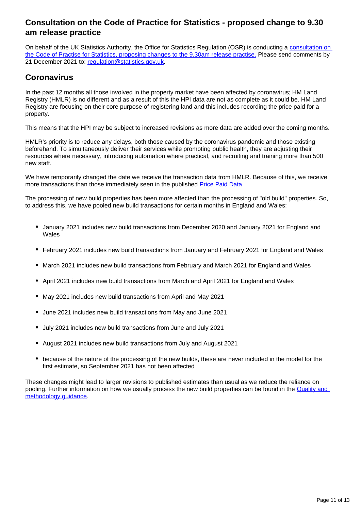### **Consultation on the Code of Practice for Statistics - proposed change to 9.30 am release practice**

On behalf of the UK Statistics Authority, the Office for Statistics Regulation (OSR) is conducting a [consultation on](https://osr.statisticsauthority.gov.uk/what-we-do/code-of-practice/consultation-on-the-code-of-practice-for-statistics-proposed-change-to-9-30am-release-practice/)  [the Code of Practise for Statistics, proposing changes to the 9.30am release practise.](https://osr.statisticsauthority.gov.uk/what-we-do/code-of-practice/consultation-on-the-code-of-practice-for-statistics-proposed-change-to-9-30am-release-practice/) Please send comments by 21 December 2021 to: [regulation@statistics.gov.uk](mailto:regulation@statistics.gov.uk).

### **Coronavirus**

In the past 12 months all those involved in the property market have been affected by coronavirus; HM Land Registry (HMLR) is no different and as a result of this the HPI data are not as complete as it could be. HM Land Registry are focusing on their core purpose of registering land and this includes recording the price paid for a property.

This means that the HPI may be subject to increased revisions as more data are added over the coming months.

HMLR's priority is to reduce any delays, both those caused by the coronavirus pandemic and those existing beforehand. To simultaneously deliver their services while promoting public health, they are adjusting their resources where necessary, introducing automation where practical, and recruiting and training more than 500 new staff.

We have temporarily changed the date we receive the transaction data from HMLR. Because of this, we receive more transactions than those immediately seen in the published [Price Paid Data](https://www.gov.uk/government/statistical-data-sets/price-paid-data-downloads).

The processing of new build properties has been more affected than the processing of "old build" properties. So, to address this, we have pooled new build transactions for certain months in England and Wales:

- January 2021 includes new build transactions from December 2020 and January 2021 for England and Wales
- February 2021 includes new build transactions from January and February 2021 for England and Wales
- March 2021 includes new build transactions from February and March 2021 for England and Wales
- April 2021 includes new build transactions from March and April 2021 for England and Wales
- May 2021 includes new build transactions from April and May 2021
- June 2021 includes new build transactions from May and June 2021
- July 2021 includes new build transactions from June and July 2021
- August 2021 includes new build transactions from July and August 2021
- because of the nature of the processing of the new builds, these are never included in the model for the first estimate, so September 2021 has not been affected

These changes might lead to larger revisions to published estimates than usual as we reduce the reliance on pooling. Further information on how we usually process the new build properties can be found in the [Quality and](https://www.gov.uk/government/publications/about-the-uk-house-price-index/quality-and-methodology)  [methodology guidance](https://www.gov.uk/government/publications/about-the-uk-house-price-index/quality-and-methodology).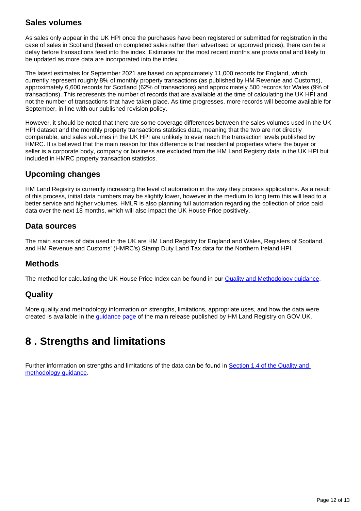### **Sales volumes**

As sales only appear in the UK HPI once the purchases have been registered or submitted for registration in the case of sales in Scotland (based on completed sales rather than advertised or approved prices), there can be a delay before transactions feed into the index. Estimates for the most recent months are provisional and likely to be updated as more data are incorporated into the index.

The latest estimates for September 2021 are based on approximately 11,000 records for England, which currently represent roughly 8% of monthly property transactions (as published by HM Revenue and Customs), approximately 6,600 records for Scotland (62% of transactions) and approximately 500 records for Wales (9% of transactions). This represents the number of records that are available at the time of calculating the UK HPI and not the number of transactions that have taken place. As time progresses, more records will become available for September, in line with our published revision policy.

However, it should be noted that there are some coverage differences between the sales volumes used in the UK HPI dataset and the monthly property transactions statistics data, meaning that the two are not directly comparable, and sales volumes in the UK HPI are unlikely to ever reach the transaction levels published by HMRC. It is believed that the main reason for this difference is that residential properties where the buyer or seller is a corporate body, company or business are excluded from the HM Land Registry data in the UK HPI but included in HMRC property transaction statistics.

## **Upcoming changes**

HM Land Registry is currently increasing the level of automation in the way they process applications. As a result of this process, initial data numbers may be slightly lower, however in the medium to long term this will lead to a better service and higher volumes. HMLR is also planning full automation regarding the collection of price paid data over the next 18 months, which will also impact the UK House Price positively.

### **Data sources**

The main sources of data used in the UK are HM Land Registry for England and Wales, Registers of Scotland, and HM Revenue and Customs' (HMRC's) Stamp Duty Land Tax data for the Northern Ireland HPI.

## **Methods**

The method for calculating the UK House Price Index can be found in our **Quality and Methodology guidance**.

### **Quality**

More quality and methodology information on strengths, limitations, appropriate uses, and how the data were created is available in the [guidance page](https://www.gov.uk/government/publications/about-the-uk-house-price-index) of the main release published by HM Land Registry on GOV.UK.

## <span id="page-11-0"></span>**8 . Strengths and limitations**

Further information on strengths and limitations of the data can be found in Section 1.4 of the Quality and [methodology guidance](https://www.gov.uk/government/publications/about-the-uk-house-price-index/quality-and-methodology).